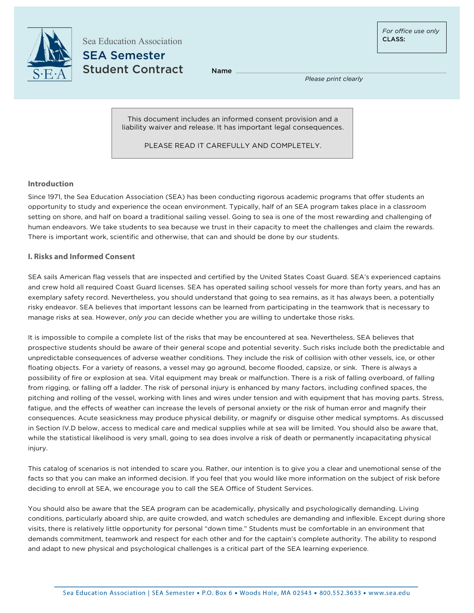

Sea Education Association SEA Semester Student Contract

Name

*Please print clearly*

This document includes an informed consent provision and a liability waiver and release. It has important legal consequences.

PLEASE READ IT CAREFULLY AND COMPLETELY.

## **Introduction**

Since 1971, the Sea Education Association (SEA) has been conducting rigorous academic programs that offer students an opportunity to study and experience the ocean environment. Typically, half of an SEA program takes place in a classroom setting on shore, and half on board a traditional sailing vessel. Going to sea is one of the most rewarding and challenging of human endeavors. We take students to sea because we trust in their capacity to meet the challenges and claim the rewards. There is important work, scientific and otherwise, that can and should be done by our students.

## **I. Risks and Informed Consent**

SEA sails American flag vessels that are inspected and certified by the United States Coast Guard. SEA's experienced captains and crew hold all required Coast Guard licenses. SEA has operated sailing school vessels for more than forty years, and has an exemplary safety record. Nevertheless, you should understand that going to sea remains, as it has always been, a potentially risky endeavor. SEA believes that important lessons can be learned from participating in the teamwork that is necessary to manage risks at sea. However, *only you* can decide whether you are willing to undertake those risks.

It is impossible to compile a complete list of the risks that may be encountered at sea. Nevertheless, SEA believes that prospective students should be aware of their general scope and potential severity. Such risks include both the predictable and unpredictable consequences of adverse weather conditions. They include the risk of collision with other vessels, ice, or other floating objects. For a variety of reasons, a vessel may go aground, become flooded, capsize, or sink. There is always a possibility of fire or explosion at sea. Vital equipment may break or malfunction. There is a risk of falling overboard, of falling from rigging, or falling off a ladder. The risk of personal injury is enhanced by many factors, including confined spaces, the pitching and rolling of the vessel, working with lines and wires under tension and with equipment that has moving parts. Stress, fatigue, and the effects of weather can increase the levels of personal anxiety or the risk of human error and magnify their consequences. Acute seasickness may produce physical debility, or magnify or disguise other medical symptoms. As discussed in Section IV.D below, access to medical care and medical supplies while at sea will be limited. You should also be aware that, while the statistical likelihood is very small, going to sea does involve a risk of death or permanently incapacitating physical injury.

This catalog of scenarios is not intended to scare you. Rather, our intention is to give you a clear and unemotional sense of the facts so that you can make an informed decision. If you feel that you would like more information on the subject of risk before deciding to enroll at SEA, we encourage you to call the SEA Office of Student Services.

You should also be aware that the SEA program can be academically, physically and psychologically demanding. Living conditions, particularly aboard ship, are quite crowded, and watch schedules are demanding and inflexible. Except during shore visits, there is relatively little opportunity for personal "down time." Students must be comfortable in an environment that demands commitment, teamwork and respect for each other and for the captain's complete authority. The ability to respond and adapt to new physical and psychological challenges is a critical part of the SEA learning experience.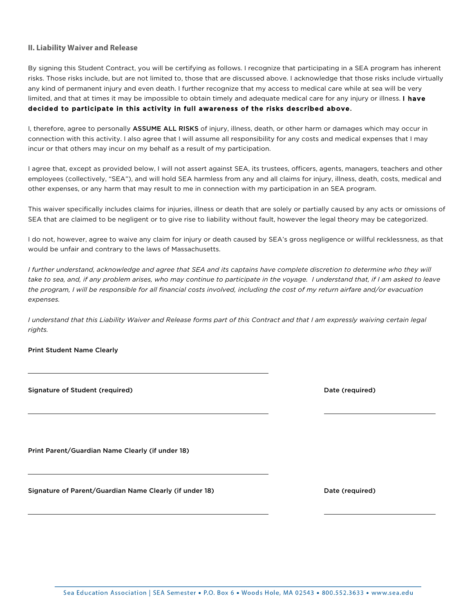### **II. Liability Waiver and Release**

By signing this Student Contract, you will be certifying as follows. I recognize that participating in a SEA program has inherent risks. Those risks include, but are not limited to, those that are discussed above. I acknowledge that those risks include virtually any kind of permanent injury and even death. I further recognize that my access to medical care while at sea will be very limited, and that at times it may be impossible to obtain timely and adequate medical care for any injury or illness. I have decided to participate in this activity in full awareness of the risks described above.

I, therefore, agree to personally ASSUME ALL RISKS of injury, illness, death, or other harm or damages which may occur in connection with this activity. I also agree that I will assume all responsibility for any costs and medical expenses that I may incur or that others may incur on my behalf as a result of my participation.

I agree that, except as provided below, I will not assert against SEA, its trustees, officers, agents, managers, teachers and other employees (collectively, "SEA"), and will hold SEA harmless from any and all claims for injury, illness, death, costs, medical and other expenses, or any harm that may result to me in connection with my participation in an SEA program.

This waiver specifically includes claims for injuries, illness or death that are solely or partially caused by any acts or omissions of SEA that are claimed to be negligent or to give rise to liability without fault, however the legal theory may be categorized.

I do not, however, agree to waive any claim for injury or death caused by SEA's gross negligence or willful recklessness, as that would be unfair and contrary to the laws of Massachusetts.

*I further understand, acknowledge and agree that SEA and its captains have complete discretion to determine who they will take to sea, and, if any problem arises, who may continue to participate in the voyage. I understand that, if I am asked to leave the program, I will be responsible for all financial costs involved, including the cost of my return airfare and/or evacuation expenses.*

*I understand that this Liability Waiver and Release forms part of this Contract and that I am expressly waiving certain legal rights.*

i<br>L

i<br>L

i<br>L

i<br>L

### Print Student Name Clearly

| Signature of Student (required) |  |  |
|---------------------------------|--|--|
|                                 |  |  |

Date (required)

Print Parent/Guardian Name Clearly (if under 18)

Signature of Parent/Guardian Name Clearly (if under 18) Date (required) Date (required)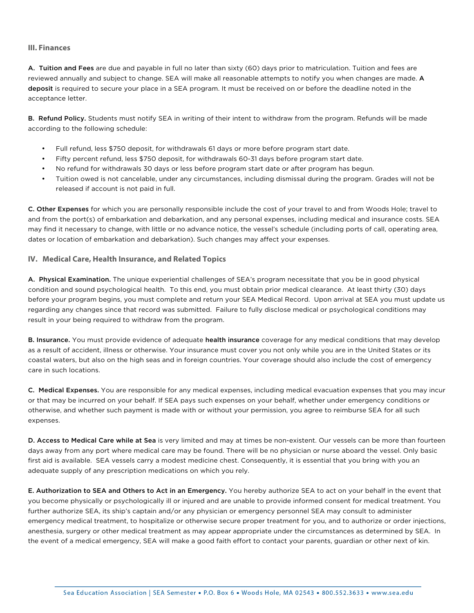### **III. Finances**

A. Tuition and Fees are due and payable in full no later than sixty (60) days prior to matriculation. Tuition and fees are reviewed annually and subject to change. SEA will make all reasonable attempts to notify you when changes are made. A deposit is required to secure your place in a SEA program. It must be received on or before the deadline noted in the acceptance letter.

B. Refund Policy. Students must notify SEA in writing of their intent to withdraw from the program. Refunds will be made according to the following schedule:

- Full refund, less \$750 deposit, for withdrawals 61 days or more before program start date.
- Fifty percent refund, less \$750 deposit, for withdrawals 60-31 days before program start date.
- No refund for withdrawals 30 days or less before program start date or after program has begun.
- Tuition owed is not cancelable, under any circumstances, including dismissal during the program. Grades will not be released if account is not paid in full.

C. Other Expenses for which you are personally responsible include the cost of your travel to and from Woods Hole; travel to and from the port(s) of embarkation and debarkation, and any personal expenses, including medical and insurance costs. SEA may find it necessary to change, with little or no advance notice, the vessel's schedule (including ports of call, operating area, dates or location of embarkation and debarkation). Such changes may affect your expenses.

### **IV. Medical Care, Health Insurance, and Related Topics**

A. Physical Examination. The unique experiential challenges of SEA's program necessitate that you be in good physical condition and sound psychological health. To this end, you must obtain prior medical clearance. At least thirty (30) days before your program begins, you must complete and return your SEA Medical Record. Upon arrival at SEA you must update us regarding any changes since that record was submitted. Failure to fully disclose medical or psychological conditions may result in your being required to withdraw from the program.

B. Insurance. You must provide evidence of adequate health insurance coverage for any medical conditions that may develop as a result of accident, illness or otherwise. Your insurance must cover you not only while you are in the United States or its coastal waters, but also on the high seas and in foreign countries. Your coverage should also include the cost of emergency care in such locations.

C. Medical Expenses. You are responsible for any medical expenses, including medical evacuation expenses that you may incur or that may be incurred on your behalf. If SEA pays such expenses on your behalf, whether under emergency conditions or otherwise, and whether such payment is made with or without your permission, you agree to reimburse SEA for all such expenses.

D. Access to Medical Care while at Sea is very limited and may at times be non-existent. Our vessels can be more than fourteen days away from any port where medical care may be found. There will be no physician or nurse aboard the vessel. Only basic first aid is available. SEA vessels carry a modest medicine chest. Consequently, it is essential that you bring with you an adequate supply of any prescription medications on which you rely.

E. Authorization to SEA and Others to Act in an Emergency. You hereby authorize SEA to act on your behalf in the event that you become physically or psychologically ill or injured and are unable to provide informed consent for medical treatment. You further authorize SEA, its ship's captain and/or any physician or emergency personnel SEA may consult to administer emergency medical treatment, to hospitalize or otherwise secure proper treatment for you, and to authorize or order injections, anesthesia, surgery or other medical treatment as may appear appropriate under the circumstances as determined by SEA. In the event of a medical emergency, SEA will make a good faith effort to contact your parents, guardian or other next of kin.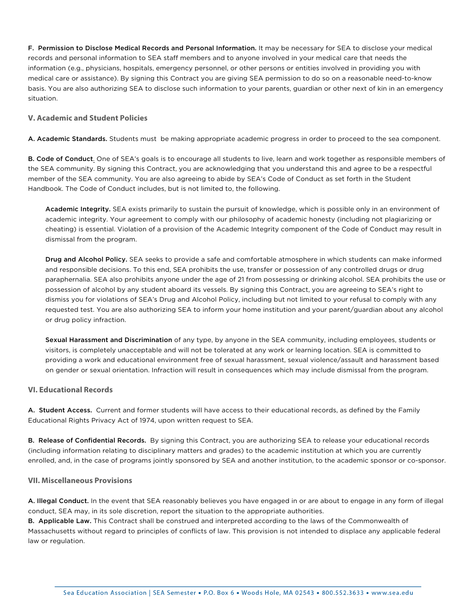F. Permission to Disclose Medical Records and Personal Information. It may be necessary for SEA to disclose your medical records and personal information to SEA staff members and to anyone involved in your medical care that needs the information (e.g., physicians, hospitals, emergency personnel, or other persons or entities involved in providing you with medical care or assistance). By signing this Contract you are giving SEA permission to do so on a reasonable need-to-know basis. You are also authorizing SEA to disclose such information to your parents, guardian or other next of kin in an emergency situation.

## **V. Academic and Student Policies**

A. Academic Standards. Students must be making appropriate academic progress in order to proceed to the sea component.

B. Code of Conduct. One of SEA's goals is to encourage all students to live, learn and work together as responsible members of the SEA community. By signing this Contract, you are acknowledging that you understand this and agree to be a respectful member of the SEA community. You are also agreeing to abide by SEA's Code of Conduct as set forth in the Student Handbook. The Code of Conduct includes, but is not limited to, the following.

Academic Integrity. SEA exists primarily to sustain the pursuit of knowledge, which is possible only in an environment of academic integrity. Your agreement to comply with our philosophy of academic honesty (including not plagiarizing or cheating) is essential. Violation of a provision of the Academic Integrity component of the Code of Conduct may result in dismissal from the program.

Drug and Alcohol Policy. SEA seeks to provide a safe and comfortable atmosphere in which students can make informed and responsible decisions. To this end, SEA prohibits the use, transfer or possession of any controlled drugs or drug paraphernalia. SEA also prohibits anyone under the age of 21 from possessing or drinking alcohol. SEA prohibits the use or possession of alcohol by any student aboard its vessels. By signing this Contract, you are agreeing to SEA's right to dismiss you for violations of SEA's Drug and Alcohol Policy, including but not limited to your refusal to comply with any requested test. You are also authorizing SEA to inform your home institution and your parent/guardian about any alcohol or drug policy infraction.

Sexual Harassment and Discrimination of any type, by anyone in the SEA community, including employees, students or visitors, is completely unacceptable and will not be tolerated at any work or learning location. SEA is committed to providing a work and educational environment free of sexual harassment, sexual violence/assault and harassment based on gender or sexual orientation. Infraction will result in consequences which may include dismissal from the program.

### **VI. Educational Records**

A. Student Access. Current and former students will have access to their educational records, as defined by the Family Educational Rights Privacy Act of 1974, upon written request to SEA.

B. Release of Confidential Records. By signing this Contract, you are authorizing SEA to release your educational records (including information relating to disciplinary matters and grades) to the academic institution at which you are currently enrolled, and, in the case of programs jointly sponsored by SEA and another institution, to the academic sponsor or co-sponsor.

### **VII. Miscellaneous Provisions**

A. Illegal Conduct. In the event that SEA reasonably believes you have engaged in or are about to engage in any form of illegal conduct, SEA may, in its sole discretion, report the situation to the appropriate authorities.

B. Applicable Law. This Contract shall be construed and interpreted according to the laws of the Commonwealth of Massachusetts without regard to principles of conflicts of law. This provision is not intended to displace any applicable federal law or regulation.